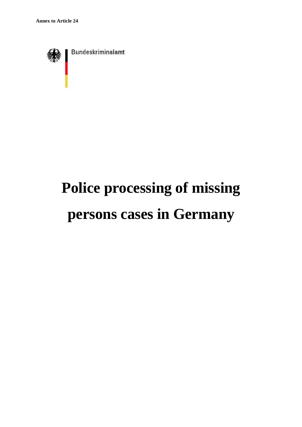

# **Police processing of missing persons cases in Germany**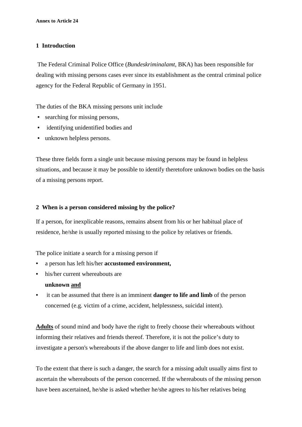# **1 Introduction**

 The Federal Criminal Police Office (*Bundeskriminalamt*, BKA) has been responsible for dealing with missing persons cases ever since its establishment as the central criminal police agency for the Federal Republic of Germany in 1951.

The duties of the BKA missing persons unit include

- searching for missing persons,
- identifying unidentified bodies and
- unknown helpless persons.

These three fields form a single unit because missing persons may be found in helpless situations, and because it may be possible to identify theretofore unknown bodies on the basis of a missing persons report.

# **2 When is a person considered missing by the police?**

If a person, for inexplicable reasons, remains absent from his or her habitual place of residence, he/she is usually reported missing to the police by relatives or friends.

The police initiate a search for a missing person if

- a person has left his/her **accustomed environment,**
- his/her current whereabouts are

# **unknown and**

• it can be assumed that there is an imminent **danger to life and limb** of the person concerned (e.g. victim of a crime, accident, helplessness, suicidal intent).

**Adults** of sound mind and body have the right to freely choose their whereabouts without informing their relatives and friends thereof. Therefore, it is not the police's duty to investigate a person's whereabouts if the above danger to life and limb does not exist.

To the extent that there is such a danger, the search for a missing adult usually aims first to ascertain the whereabouts of the person concerned. If the whereabouts of the missing person have been ascertained, he/she is asked whether he/she agrees to his/her relatives being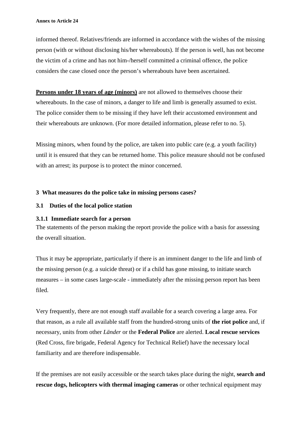informed thereof. Relatives/friends are informed in accordance with the wishes of the missing person (with or without disclosing his/her whereabouts). If the person is well, has not become the victim of a crime and has not him-/herself committed a criminal offence, the police considers the case closed once the person's whereabouts have been ascertained.

**Persons under 18 years of age (minors)** are not allowed to themselves choose their whereabouts. In the case of minors, a danger to life and limb is generally assumed to exist. The police consider them to be missing if they have left their accustomed environment and their whereabouts are unknown. (For more detailed information, please refer to no. 5).

Missing minors, when found by the police, are taken into public care (e.g. a youth facility) until it is ensured that they can be returned home. This police measure should not be confused with an arrest; its purpose is to protect the minor concerned.

#### **3 What measures do the police take in missing persons cases?**

#### **3.1 Duties of the local police station**

#### **3.1.1 Immediate search for a person**

The statements of the person making the report provide the police with a basis for assessing the overall situation.

Thus it may be appropriate, particularly if there is an imminent danger to the life and limb of the missing person (e.g. a suicide threat) or if a child has gone missing, to initiate search measures – in some cases large-scale - immediately after the missing person report has been filed.

Very frequently, there are not enough staff available for a search covering a large area. For that reason, as a rule all available staff from the hundred-strong units of **the riot police** and, if necessary, units from other *Länder* or the **Federal Police** are alerted. **Local rescue services** (Red Cross, fire brigade, Federal Agency for Technical Relief) have the necessary local familiarity and are therefore indispensable.

If the premises are not easily accessible or the search takes place during the night, **search and rescue dogs, helicopters with thermal imaging cameras** or other technical equipment may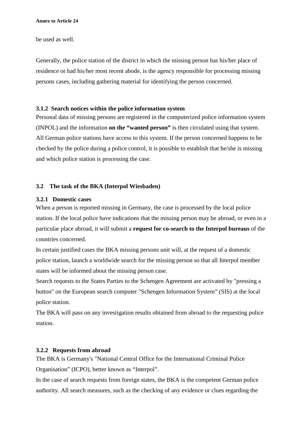be used as well.

Generally, the police station of the district in which the missing person has his/her place of residence or had his/her most recent abode, is the agency responsible for processing missing persons cases, including gathering material for identifying the person concerned.

# **3.1.2 Search notices within the police information system**

Personal data of missing persons are registered in the computerized police information system (INPOL) and the information **on the "wanted person"** is then circulated using that system. All German police stations have access to this system. If the person concerned happens to be checked by the police during a police control, it is possible to establish that he/she is missing and which police station is processing the case.

# **3.2 The task of the BKA (Interpol Wiesbaden)**

# **3.2.1 Domestic cases**

When a person is reported missing in Germany, the case is processed by the local police station. If the local police have indications that the missing person may be abroad, or even in a particular place abroad, it will submit a **request for co-search to the Interpol bureaus** of the countries concerned.

In certain justified cases the BKA missing persons unit will, at the request of a domestic police station, launch a worldwide search for the missing person so that all Interpol member states will be informed about the missing person case.

Search requests to the States Parties to the Schengen Agreement are activated by "pressing a button" on the European search computer "Schengen Information System" (SIS) at the local police station.

The BKA will pass on any investigation results obtained from abroad to the requesting police station.

# **3.2.2 Requests from abroad**

The BKA is Germany's "National Central Office for the International Criminal Police Organisation" (ICPO), better known as "Interpol".

In the case of search requests from foreign states, the BKA is the competent German police authority. All search measures, such as the checking of any evidence or clues regarding the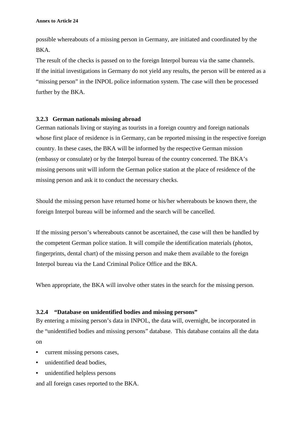possible whereabouts of a missing person in Germany, are initiated and coordinated by the BKA.

The result of the checks is passed on to the foreign Interpol bureau via the same channels. If the initial investigations in Germany do not yield any results, the person will be entered as a "missing person" in the INPOL police information system. The case will then be processed further by the BKA.

# **3.2.3 German nationals missing abroad**

German nationals living or staying as tourists in a foreign country and foreign nationals whose first place of residence is in Germany, can be reported missing in the respective foreign country. In these cases, the BKA will be informed by the respective German mission (embassy or consulate) or by the Interpol bureau of the country concerned. The BKA's missing persons unit will inform the German police station at the place of residence of the missing person and ask it to conduct the necessary checks.

Should the missing person have returned home or his/her whereabouts be known there, the foreign Interpol bureau will be informed and the search will be cancelled.

If the missing person's whereabouts cannot be ascertained, the case will then be handled by the competent German police station. It will compile the identification materials (photos, fingerprints, dental chart) of the missing person and make them available to the foreign Interpol bureau via the Land Criminal Police Office and the BKA.

When appropriate, the BKA will involve other states in the search for the missing person.

# **3.2.4 "Database on unidentified bodies and missing persons"**

By entering a missing person's data in INPOL, the data will, overnight, be incorporated in the "unidentified bodies and missing persons" database. This database contains all the data on

- current missing persons cases,
- unidentified dead bodies,
- unidentified helpless persons

and all foreign cases reported to the BKA.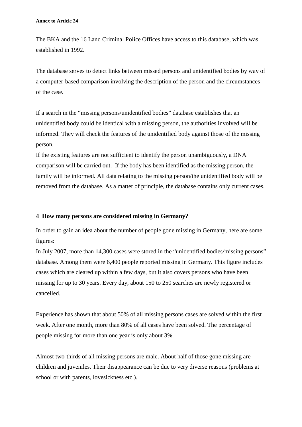The BKA and the 16 Land Criminal Police Offices have access to this database, which was established in 1992.

The database serves to detect links between missed persons and unidentified bodies by way of a computer-based comparison involving the description of the person and the circumstances of the case.

If a search in the "missing persons/unidentified bodies" database establishes that an unidentified body could be identical with a missing person, the authorities involved will be informed. They will check the features of the unidentified body against those of the missing person.

If the existing features are not sufficient to identify the person unambiguously, a DNA comparison will be carried out. If the body has been identified as the missing person, the family will be informed. All data relating to the missing person/the unidentified body will be removed from the database. As a matter of principle, the database contains only current cases.

#### **4 How many persons are considered missing in Germany?**

In order to gain an idea about the number of people gone missing in Germany, here are some figures:

In July 2007, more than 14,300 cases were stored in the "unidentified bodies/missing persons" database. Among them were 6,400 people reported missing in Germany. This figure includes cases which are cleared up within a few days, but it also covers persons who have been missing for up to 30 years. Every day, about 150 to 250 searches are newly registered or cancelled.

Experience has shown that about 50% of all missing persons cases are solved within the first week. After one month, more than 80% of all cases have been solved. The percentage of people missing for more than one year is only about 3%.

Almost two-thirds of all missing persons are male. About half of those gone missing are children and juveniles. Their disappearance can be due to very diverse reasons (problems at school or with parents, lovesickness etc.).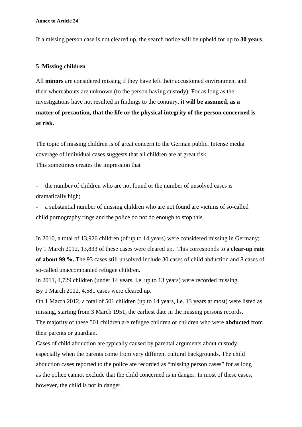**Annex to Article 24** 

If a missing person case is not cleared up, the search notice will be upheld for up to **30 years**.

#### **5 Missing children**

All **minors** are considered missing if they have left their accustomed environment and their whereabouts are unknown (to the person having custody). For as long as the investigations have not resulted in findings to the contrary, **it will be assumed, as a matter of precaution, that the life or the physical integrity of the person concerned is at risk.** 

The topic of missing children is of great concern to the German public. Intense media coverage of individual cases suggests that all children are at great risk. This sometimes creates the impression that

- the number of children who are not found or the number of unsolved cases is dramatically high;

a substantial number of missing children who are not found are victims of so-called child pornography rings and the police do not do enough to stop this.

In 2010, a total of 13,926 children (of up to 14 years) were considered missing in Germany; by 1 March 2012, 13,833 of these cases were cleared up. This corresponds to a **clear-up rate of about 99 %.** The 93 cases still unsolved include 30 cases of child abduction and 8 cases of so-called unaccompanied refugee children.

In 2011, 4,729 children (under 14 years, i.e. up to 13 years) were recorded missing. By 1 March 2012, 4,581 cases were cleared up.

On 1 March 2012, a total of 501 children (up to 14 years, i.e. 13 years at most) were listed as missing, starting from 3 March 1951, the earliest date in the missing persons records.

The majority of these 501 children are refugee children or children who were **abducted** from their parents or guardian.

Cases of child abduction are typically caused by parental arguments about custody, especially when the parents come from very different cultural backgrounds. The child abduction cases reported to the police are recorded as "missing person cases" for as long as the police cannot exclude that the child concerned is in danger. In most of these cases, however, the child is not in danger.